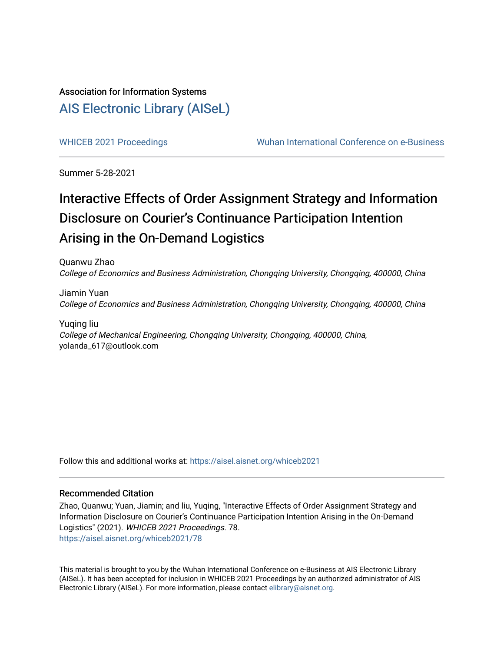## Association for Information Systems [AIS Electronic Library \(AISeL\)](https://aisel.aisnet.org/)

[WHICEB 2021 Proceedings](https://aisel.aisnet.org/whiceb2021) **Wuhan International Conference on e-Business** 

Summer 5-28-2021

## Interactive Effects of Order Assignment Strategy and Information Disclosure on Courier's Continuance Participation Intention Arising in the On-Demand Logistics

Quanwu Zhao College of Economics and Business Administration, Chongqing University, Chongqing, 400000, China

Jiamin Yuan College of Economics and Business Administration, Chongqing University, Chongqing, 400000, China

Yuqing liu College of Mechanical Engineering, Chongqing University, Chongqing, 400000, China, yolanda\_617@outlook.com

Follow this and additional works at: [https://aisel.aisnet.org/whiceb2021](https://aisel.aisnet.org/whiceb2021?utm_source=aisel.aisnet.org%2Fwhiceb2021%2F78&utm_medium=PDF&utm_campaign=PDFCoverPages)

## Recommended Citation

Zhao, Quanwu; Yuan, Jiamin; and liu, Yuqing, "Interactive Effects of Order Assignment Strategy and Information Disclosure on Courier's Continuance Participation Intention Arising in the On-Demand Logistics" (2021). WHICEB 2021 Proceedings. 78. [https://aisel.aisnet.org/whiceb2021/78](https://aisel.aisnet.org/whiceb2021/78?utm_source=aisel.aisnet.org%2Fwhiceb2021%2F78&utm_medium=PDF&utm_campaign=PDFCoverPages) 

This material is brought to you by the Wuhan International Conference on e-Business at AIS Electronic Library (AISeL). It has been accepted for inclusion in WHICEB 2021 Proceedings by an authorized administrator of AIS Electronic Library (AISeL). For more information, please contact [elibrary@aisnet.org.](mailto:elibrary@aisnet.org%3E)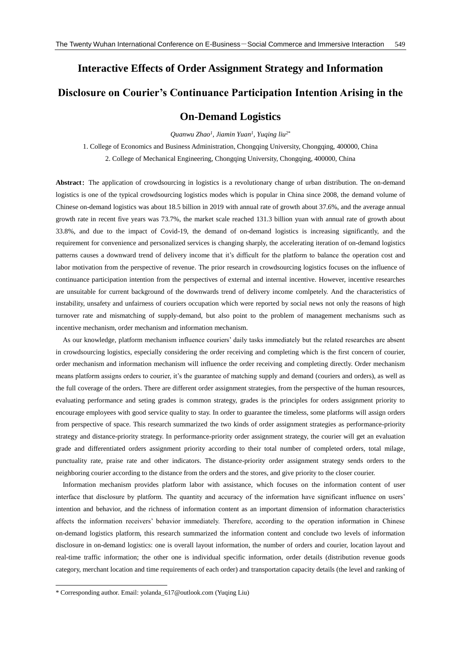## **Interactive Effects of Order Assignment Strategy and Information Disclosure on Courier's Continuance Participation Intention Arising in the On-Demand Logistics**

*Quanwu Zhao<sup>1</sup> , Jiamin Yuan<sup>1</sup> , Yuqing liu2\**

1. College of Economics and Business Administration, Chongqing University, Chongqing, 400000, China

2. College of Mechanical Engineering, Chongqing University, Chongqing, 400000, China

Abstract: The application of crowdsourcing in logistics is a revolutionary change of urban distribution. The on-demand logistics is one of the typical crowdsourcing logistics modes which is popular in China since 2008, the demand volume of Chinese on-demand logistics was about 18.5 billion in 2019 with annual rate of growth about 37.6%, and the average annual growth rate in recent five years was 73.7%, the market scale reached 131.3 billion yuan with annual rate of growth about 33.8%, and due to the impact of Covid-19, the demand of on-demand logistics is increasing significantly, and the requirement for convenience and personalized services is changing sharply, the accelerating iteration of on-demand logistics patterns causes a downward trend of delivery income that it's difficult for the platform to balance the operation cost and labor motivation from the perspective of revenue. The prior research in crowdsourcing logistics focuses on the influence of continuance participation intention from the perspectives of external and internal incentive. However, incentive researches are unsuitable for current background of the downwards trend of delivery income comlpetely. And the characteristics of instability, unsafety and unfairness of couriers occupation which were reported by social news not only the reasons of high turnover rate and mismatching of supply-demand, but also point to the problem of management mechanisms such as incentive mechanism, order mechanism and information mechanism.

 As our knowledge, platform mechanism influence couriers' daily tasks immediately but the related researches are absent in crowdsourcing logistics, especially considering the order receiving and completing which is the first concern of courier, order mechanism and information mechanism will influence the order receiving and completing directly. Order mechanism means platform assigns orders to courier, it's the guarantee of matching supply and demand (couriers and orders), as well as the full coverage of the orders. There are different order assignment strategies, from the perspective of the human resources, evaluating performance and seting grades is common strategy, grades is the principles for orders assignment priority to encourage employees with good service quality to stay. In order to guarantee the timeless, some platforms will assign orders from perspective of space. This research summarized the two kinds of order assignment strategies as performance-priority strategy and distance-priority strategy. In performance-priority order assignment strategy, the courier will get an evaluation grade and differentiated orders assignment priority according to their total number of completed orders, total milage, punctuality rate, praise rate and other indicators. The distance-priority order assignment strategy sends orders to the neighboring courier according to the distance from the orders and the stores, and give priority to the closer courier.

 Information mechanism provides platform labor with assistance, which focuses on the information content of user interface that disclosure by platform. The quantity and accuracy of the information have significant influence on users' intention and behavior, and the richness of information content as an important dimension of information characteristics affects the information receivers' behavior immediately. Therefore, according to the operation information in Chinese on-demand logistics platform, this research summarized the information content and conclude two levels of information disclosure in on-demand logistics: one is overall layout information, the number of orders and courier, location layout and real-time traffic information; the other one is individual specific information, order details (distribution revenue goods category, merchant location and time requirements of each order) and transportation capacity details (the level and ranking of

1

<sup>\*</sup> Corresponding author. Email[: yolanda\\_617@outlook.com](mailto:yolanda_617@outlook.com) (Yuqing Liu)